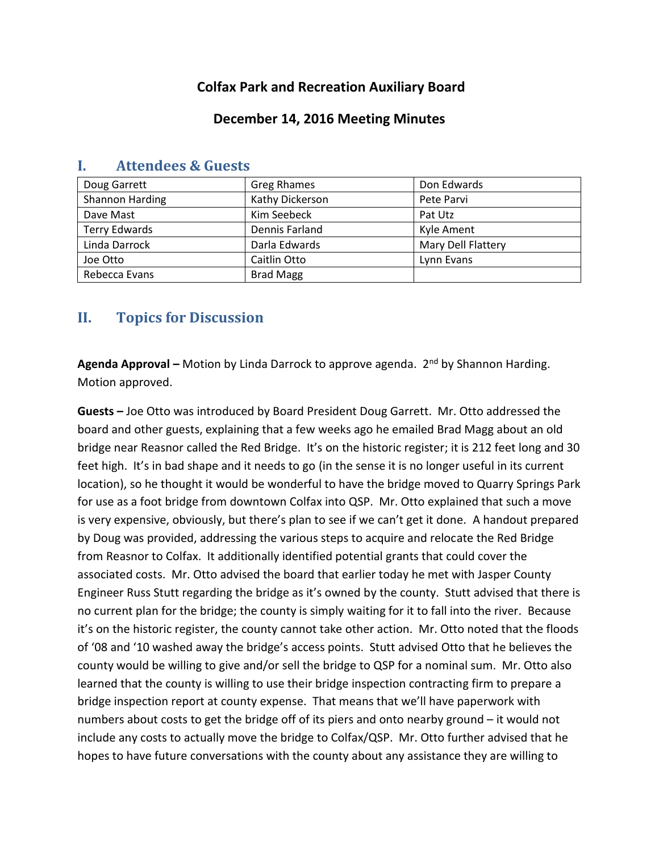## **Colfax Park and Recreation Auxiliary Board**

#### **December 14, 2016 Meeting Minutes**

| Doug Garrett         | <b>Greg Rhames</b> | Don Edwards        |
|----------------------|--------------------|--------------------|
| Shannon Harding      | Kathy Dickerson    | Pete Parvi         |
| Dave Mast            | Kim Seebeck        | Pat Utz            |
| <b>Terry Edwards</b> | Dennis Farland     | Kyle Ament         |
| Linda Darrock        | Darla Edwards      | Mary Dell Flattery |
| Joe Otto             | Caitlin Otto       | Lynn Evans         |
| Rebecca Evans        | <b>Brad Magg</b>   |                    |

# **I. Attendees & Guests**

# **II. Topics for Discussion**

Agenda Approval – Motion by Linda Darrock to approve agenda. 2<sup>nd</sup> by Shannon Harding. Motion approved.

**Guests –** Joe Otto was introduced by Board President Doug Garrett. Mr. Otto addressed the board and other guests, explaining that a few weeks ago he emailed Brad Magg about an old bridge near Reasnor called the Red Bridge. It's on the historic register; it is 212 feet long and 30 feet high. It's in bad shape and it needs to go (in the sense it is no longer useful in its current location), so he thought it would be wonderful to have the bridge moved to Quarry Springs Park for use as a foot bridge from downtown Colfax into QSP. Mr. Otto explained that such a move is very expensive, obviously, but there's plan to see if we can't get it done. A handout prepared by Doug was provided, addressing the various steps to acquire and relocate the Red Bridge from Reasnor to Colfax. It additionally identified potential grants that could cover the associated costs. Mr. Otto advised the board that earlier today he met with Jasper County Engineer Russ Stutt regarding the bridge as it's owned by the county. Stutt advised that there is no current plan for the bridge; the county is simply waiting for it to fall into the river. Because it's on the historic register, the county cannot take other action. Mr. Otto noted that the floods of '08 and '10 washed away the bridge's access points. Stutt advised Otto that he believes the county would be willing to give and/or sell the bridge to QSP for a nominal sum. Mr. Otto also learned that the county is willing to use their bridge inspection contracting firm to prepare a bridge inspection report at county expense. That means that we'll have paperwork with numbers about costs to get the bridge off of its piers and onto nearby ground – it would not include any costs to actually move the bridge to Colfax/QSP. Mr. Otto further advised that he hopes to have future conversations with the county about any assistance they are willing to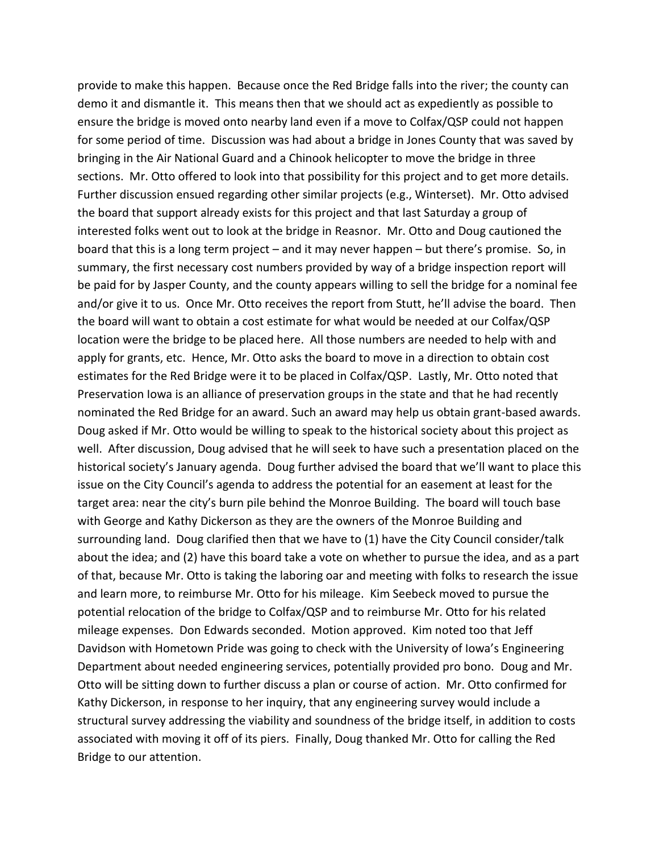provide to make this happen. Because once the Red Bridge falls into the river; the county can demo it and dismantle it. This means then that we should act as expediently as possible to ensure the bridge is moved onto nearby land even if a move to Colfax/QSP could not happen for some period of time. Discussion was had about a bridge in Jones County that was saved by bringing in the Air National Guard and a Chinook helicopter to move the bridge in three sections. Mr. Otto offered to look into that possibility for this project and to get more details. Further discussion ensued regarding other similar projects (e.g., Winterset). Mr. Otto advised the board that support already exists for this project and that last Saturday a group of interested folks went out to look at the bridge in Reasnor. Mr. Otto and Doug cautioned the board that this is a long term project – and it may never happen – but there's promise. So, in summary, the first necessary cost numbers provided by way of a bridge inspection report will be paid for by Jasper County, and the county appears willing to sell the bridge for a nominal fee and/or give it to us. Once Mr. Otto receives the report from Stutt, he'll advise the board. Then the board will want to obtain a cost estimate for what would be needed at our Colfax/QSP location were the bridge to be placed here. All those numbers are needed to help with and apply for grants, etc. Hence, Mr. Otto asks the board to move in a direction to obtain cost estimates for the Red Bridge were it to be placed in Colfax/QSP. Lastly, Mr. Otto noted that Preservation Iowa is an alliance of preservation groups in the state and that he had recently nominated the Red Bridge for an award. Such an award may help us obtain grant-based awards. Doug asked if Mr. Otto would be willing to speak to the historical society about this project as well. After discussion, Doug advised that he will seek to have such a presentation placed on the historical society's January agenda. Doug further advised the board that we'll want to place this issue on the City Council's agenda to address the potential for an easement at least for the target area: near the city's burn pile behind the Monroe Building. The board will touch base with George and Kathy Dickerson as they are the owners of the Monroe Building and surrounding land. Doug clarified then that we have to (1) have the City Council consider/talk about the idea; and (2) have this board take a vote on whether to pursue the idea, and as a part of that, because Mr. Otto is taking the laboring oar and meeting with folks to research the issue and learn more, to reimburse Mr. Otto for his mileage. Kim Seebeck moved to pursue the potential relocation of the bridge to Colfax/QSP and to reimburse Mr. Otto for his related mileage expenses. Don Edwards seconded. Motion approved. Kim noted too that Jeff Davidson with Hometown Pride was going to check with the University of Iowa's Engineering Department about needed engineering services, potentially provided pro bono. Doug and Mr. Otto will be sitting down to further discuss a plan or course of action. Mr. Otto confirmed for Kathy Dickerson, in response to her inquiry, that any engineering survey would include a structural survey addressing the viability and soundness of the bridge itself, in addition to costs associated with moving it off of its piers. Finally, Doug thanked Mr. Otto for calling the Red Bridge to our attention.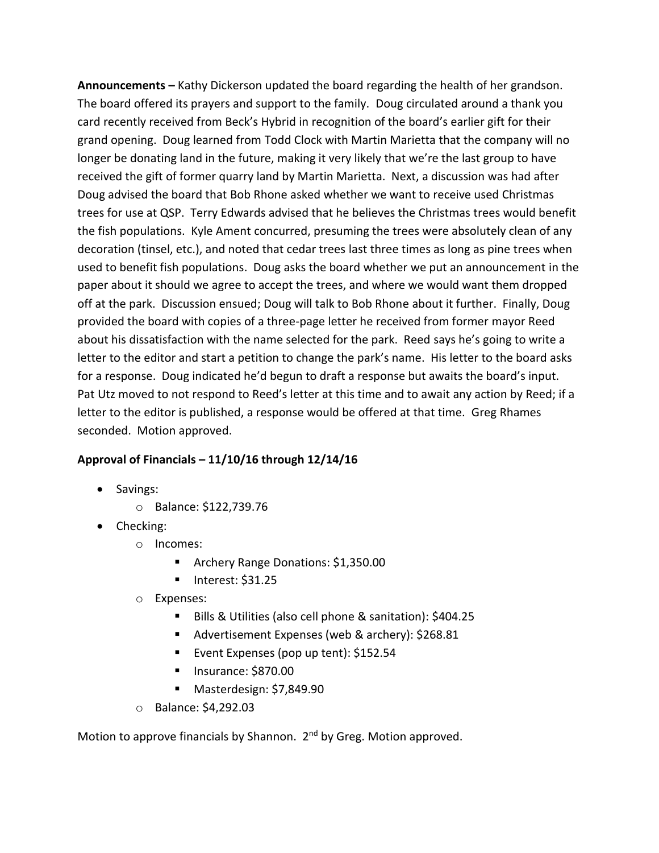**Announcements –** Kathy Dickerson updated the board regarding the health of her grandson. The board offered its prayers and support to the family. Doug circulated around a thank you card recently received from Beck's Hybrid in recognition of the board's earlier gift for their grand opening. Doug learned from Todd Clock with Martin Marietta that the company will no longer be donating land in the future, making it very likely that we're the last group to have received the gift of former quarry land by Martin Marietta. Next, a discussion was had after Doug advised the board that Bob Rhone asked whether we want to receive used Christmas trees for use at QSP. Terry Edwards advised that he believes the Christmas trees would benefit the fish populations. Kyle Ament concurred, presuming the trees were absolutely clean of any decoration (tinsel, etc.), and noted that cedar trees last three times as long as pine trees when used to benefit fish populations. Doug asks the board whether we put an announcement in the paper about it should we agree to accept the trees, and where we would want them dropped off at the park. Discussion ensued; Doug will talk to Bob Rhone about it further. Finally, Doug provided the board with copies of a three-page letter he received from former mayor Reed about his dissatisfaction with the name selected for the park. Reed says he's going to write a letter to the editor and start a petition to change the park's name. His letter to the board asks for a response. Doug indicated he'd begun to draft a response but awaits the board's input. Pat Utz moved to not respond to Reed's letter at this time and to await any action by Reed; if a letter to the editor is published, a response would be offered at that time. Greg Rhames seconded. Motion approved.

#### **Approval of Financials – 11/10/16 through 12/14/16**

- Savings:
	- o Balance: \$122,739.76
- Checking:
	- o Incomes:
		- **Archery Range Donations: \$1,350.00**
		- $\blacksquare$  Interest: \$31.25
	- o Expenses:
		- Bills & Utilities (also cell phone & sanitation): \$404.25
		- Advertisement Expenses (web & archery): \$268.81
		- Event Expenses (pop up tent): \$152.54
		- **Insurance: \$870.00**
		- Masterdesign: \$7,849.90
	- o Balance: \$4,292.03

Motion to approve financials by Shannon. 2<sup>nd</sup> by Greg. Motion approved.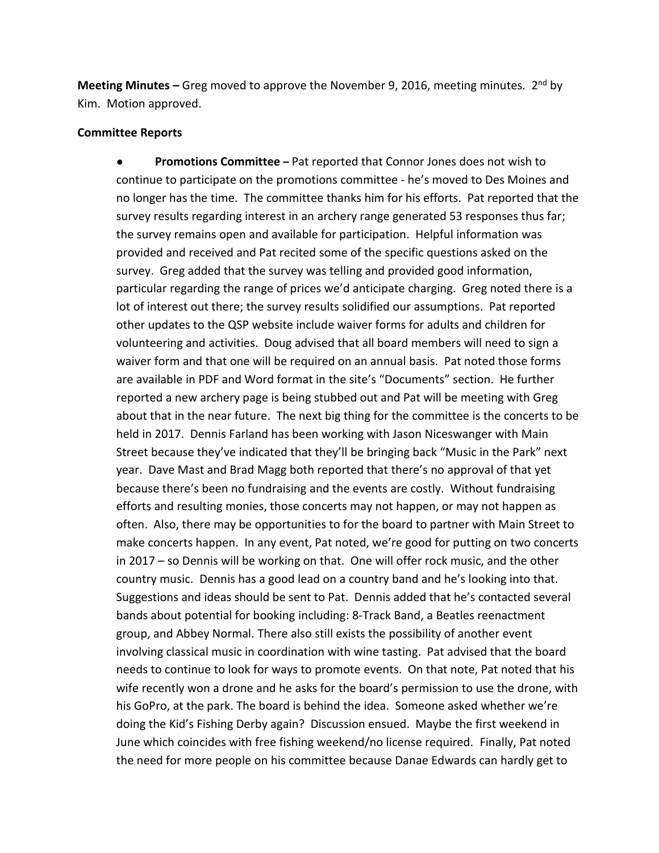**Meeting Minutes –** Greg moved to approve the November 9, 2016, meeting minutes. 2<sup>nd</sup> by Kim. Motion approved.

#### **Committee Reports**

● **Promotions Committee –** Pat reported that Connor Jones does not wish to continue to participate on the promotions committee - he's moved to Des Moines and no longer has the time. The committee thanks him for his efforts. Pat reported that the survey results regarding interest in an archery range generated 53 responses thus far; the survey remains open and available for participation. Helpful information was provided and received and Pat recited some of the specific questions asked on the survey. Greg added that the survey was telling and provided good information, particular regarding the range of prices we'd anticipate charging. Greg noted there is a lot of interest out there; the survey results solidified our assumptions. Pat reported other updates to the QSP website include waiver forms for adults and children for volunteering and activities. Doug advised that all board members will need to sign a waiver form and that one will be required on an annual basis. Pat noted those forms are available in PDF and Word format in the site's "Documents" section. He further reported a new archery page is being stubbed out and Pat will be meeting with Greg about that in the near future. The next big thing for the committee is the concerts to be held in 2017. Dennis Farland has been working with Jason Niceswanger with Main Street because they've indicated that they'll be bringing back "Music in the Park" next year. Dave Mast and Brad Magg both reported that there's no approval of that yet because there's been no fundraising and the events are costly. Without fundraising efforts and resulting monies, those concerts may not happen, or may not happen as often. Also, there may be opportunities to for the board to partner with Main Street to make concerts happen. In any event, Pat noted, we're good for putting on two concerts in 2017 – so Dennis will be working on that. One will offer rock music, and the other country music. Dennis has a good lead on a country band and he's looking into that. Suggestions and ideas should be sent to Pat. Dennis added that he's contacted several bands about potential for booking including: 8-Track Band, a Beatles reenactment group, and Abbey Normal. There also still exists the possibility of another event involving classical music in coordination with wine tasting. Pat advised that the board needs to continue to look for ways to promote events. On that note, Pat noted that his wife recently won a drone and he asks for the board's permission to use the drone, with his GoPro, at the park. The board is behind the idea. Someone asked whether we're doing the Kid's Fishing Derby again? Discussion ensued. Maybe the first weekend in June which coincides with free fishing weekend/no license required. Finally, Pat noted the need for more people on his committee because Danae Edwards can hardly get to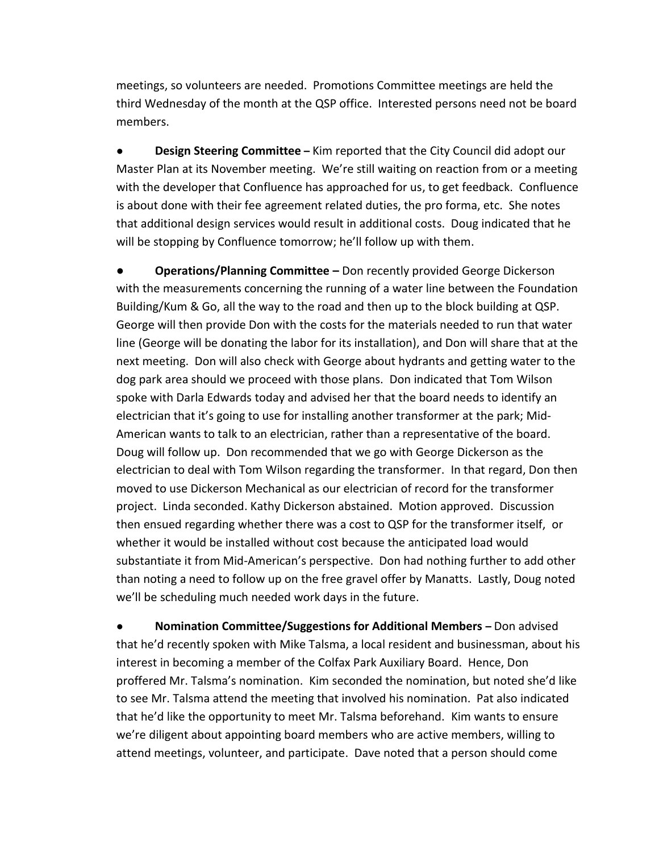meetings, so volunteers are needed. Promotions Committee meetings are held the third Wednesday of the month at the QSP office. Interested persons need not be board members.

**Design Steering Committee** – Kim reported that the City Council did adopt our Master Plan at its November meeting. We're still waiting on reaction from or a meeting with the developer that Confluence has approached for us, to get feedback. Confluence is about done with their fee agreement related duties, the pro forma, etc. She notes that additional design services would result in additional costs. Doug indicated that he will be stopping by Confluence tomorrow; he'll follow up with them.

**Operations/Planning Committee –** Don recently provided George Dickerson with the measurements concerning the running of a water line between the Foundation Building/Kum & Go, all the way to the road and then up to the block building at QSP. George will then provide Don with the costs for the materials needed to run that water line (George will be donating the labor for its installation), and Don will share that at the next meeting. Don will also check with George about hydrants and getting water to the dog park area should we proceed with those plans. Don indicated that Tom Wilson spoke with Darla Edwards today and advised her that the board needs to identify an electrician that it's going to use for installing another transformer at the park; Mid-American wants to talk to an electrician, rather than a representative of the board. Doug will follow up. Don recommended that we go with George Dickerson as the electrician to deal with Tom Wilson regarding the transformer. In that regard, Don then moved to use Dickerson Mechanical as our electrician of record for the transformer project. Linda seconded. Kathy Dickerson abstained. Motion approved. Discussion then ensued regarding whether there was a cost to QSP for the transformer itself, or whether it would be installed without cost because the anticipated load would substantiate it from Mid-American's perspective. Don had nothing further to add other than noting a need to follow up on the free gravel offer by Manatts. Lastly, Doug noted we'll be scheduling much needed work days in the future.

● **Nomination Committee/Suggestions for Additional Members –** Don advised that he'd recently spoken with Mike Talsma, a local resident and businessman, about his interest in becoming a member of the Colfax Park Auxiliary Board. Hence, Don proffered Mr. Talsma's nomination. Kim seconded the nomination, but noted she'd like to see Mr. Talsma attend the meeting that involved his nomination. Pat also indicated that he'd like the opportunity to meet Mr. Talsma beforehand. Kim wants to ensure we're diligent about appointing board members who are active members, willing to attend meetings, volunteer, and participate. Dave noted that a person should come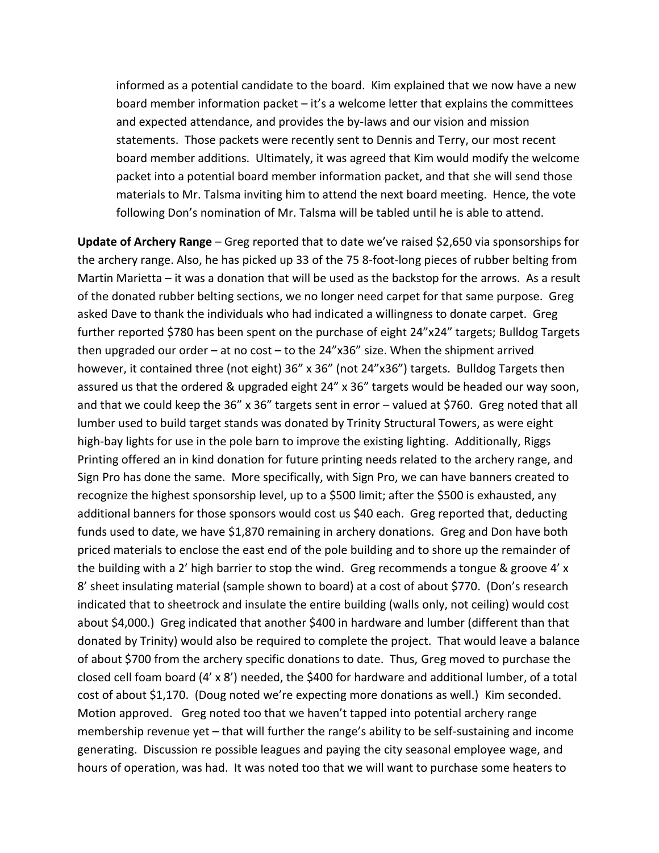informed as a potential candidate to the board. Kim explained that we now have a new board member information packet – it's a welcome letter that explains the committees and expected attendance, and provides the by-laws and our vision and mission statements. Those packets were recently sent to Dennis and Terry, our most recent board member additions. Ultimately, it was agreed that Kim would modify the welcome packet into a potential board member information packet, and that she will send those materials to Mr. Talsma inviting him to attend the next board meeting. Hence, the vote following Don's nomination of Mr. Talsma will be tabled until he is able to attend.

**Update of Archery Range** – Greg reported that to date we've raised \$2,650 via sponsorships for the archery range. Also, he has picked up 33 of the 75 8-foot-long pieces of rubber belting from Martin Marietta – it was a donation that will be used as the backstop for the arrows. As a result of the donated rubber belting sections, we no longer need carpet for that same purpose. Greg asked Dave to thank the individuals who had indicated a willingness to donate carpet. Greg further reported \$780 has been spent on the purchase of eight 24"x24" targets; Bulldog Targets then upgraded our order – at no cost – to the  $24$ "x36" size. When the shipment arrived however, it contained three (not eight) 36" x 36" (not 24"x36") targets. Bulldog Targets then assured us that the ordered & upgraded eight 24" x 36" targets would be headed our way soon, and that we could keep the 36" x 36" targets sent in error – valued at \$760. Greg noted that all lumber used to build target stands was donated by Trinity Structural Towers, as were eight high-bay lights for use in the pole barn to improve the existing lighting. Additionally, Riggs Printing offered an in kind donation for future printing needs related to the archery range, and Sign Pro has done the same. More specifically, with Sign Pro, we can have banners created to recognize the highest sponsorship level, up to a \$500 limit; after the \$500 is exhausted, any additional banners for those sponsors would cost us \$40 each. Greg reported that, deducting funds used to date, we have \$1,870 remaining in archery donations. Greg and Don have both priced materials to enclose the east end of the pole building and to shore up the remainder of the building with a 2' high barrier to stop the wind. Greg recommends a tongue & groove 4' x 8' sheet insulating material (sample shown to board) at a cost of about \$770. (Don's research indicated that to sheetrock and insulate the entire building (walls only, not ceiling) would cost about \$4,000.) Greg indicated that another \$400 in hardware and lumber (different than that donated by Trinity) would also be required to complete the project. That would leave a balance of about \$700 from the archery specific donations to date. Thus, Greg moved to purchase the closed cell foam board (4' x 8') needed, the \$400 for hardware and additional lumber, of a total cost of about \$1,170. (Doug noted we're expecting more donations as well.) Kim seconded. Motion approved. Greg noted too that we haven't tapped into potential archery range membership revenue yet – that will further the range's ability to be self-sustaining and income generating. Discussion re possible leagues and paying the city seasonal employee wage, and hours of operation, was had. It was noted too that we will want to purchase some heaters to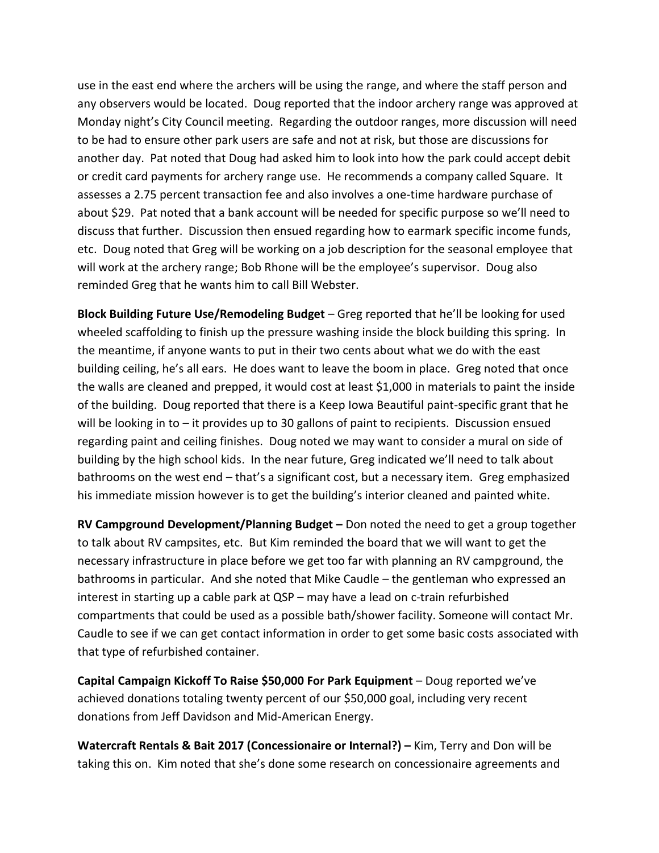use in the east end where the archers will be using the range, and where the staff person and any observers would be located. Doug reported that the indoor archery range was approved at Monday night's City Council meeting. Regarding the outdoor ranges, more discussion will need to be had to ensure other park users are safe and not at risk, but those are discussions for another day. Pat noted that Doug had asked him to look into how the park could accept debit or credit card payments for archery range use. He recommends a company called Square. It assesses a 2.75 percent transaction fee and also involves a one-time hardware purchase of about \$29. Pat noted that a bank account will be needed for specific purpose so we'll need to discuss that further. Discussion then ensued regarding how to earmark specific income funds, etc. Doug noted that Greg will be working on a job description for the seasonal employee that will work at the archery range; Bob Rhone will be the employee's supervisor. Doug also reminded Greg that he wants him to call Bill Webster.

**Block Building Future Use/Remodeling Budget** – Greg reported that he'll be looking for used wheeled scaffolding to finish up the pressure washing inside the block building this spring. In the meantime, if anyone wants to put in their two cents about what we do with the east building ceiling, he's all ears. He does want to leave the boom in place. Greg noted that once the walls are cleaned and prepped, it would cost at least \$1,000 in materials to paint the inside of the building. Doug reported that there is a Keep Iowa Beautiful paint-specific grant that he will be looking in to – it provides up to 30 gallons of paint to recipients. Discussion ensued regarding paint and ceiling finishes. Doug noted we may want to consider a mural on side of building by the high school kids. In the near future, Greg indicated we'll need to talk about bathrooms on the west end – that's a significant cost, but a necessary item. Greg emphasized his immediate mission however is to get the building's interior cleaned and painted white.

**RV Campground Development/Planning Budget –** Don noted the need to get a group together to talk about RV campsites, etc. But Kim reminded the board that we will want to get the necessary infrastructure in place before we get too far with planning an RV campground, the bathrooms in particular. And she noted that Mike Caudle – the gentleman who expressed an interest in starting up a cable park at QSP – may have a lead on c-train refurbished compartments that could be used as a possible bath/shower facility. Someone will contact Mr. Caudle to see if we can get contact information in order to get some basic costs associated with that type of refurbished container.

**Capital Campaign Kickoff To Raise \$50,000 For Park Equipment** – Doug reported we've achieved donations totaling twenty percent of our \$50,000 goal, including very recent donations from Jeff Davidson and Mid-American Energy.

**Watercraft Rentals & Bait 2017 (Concessionaire or Internal?) – Kim, Terry and Don will be** taking this on. Kim noted that she's done some research on concessionaire agreements and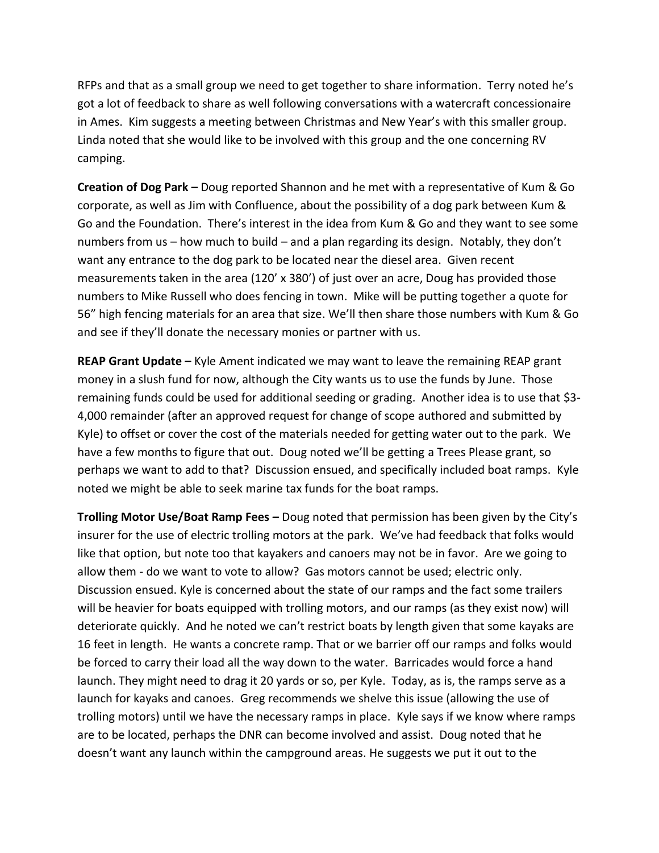RFPs and that as a small group we need to get together to share information. Terry noted he's got a lot of feedback to share as well following conversations with a watercraft concessionaire in Ames. Kim suggests a meeting between Christmas and New Year's with this smaller group. Linda noted that she would like to be involved with this group and the one concerning RV camping.

**Creation of Dog Park –** Doug reported Shannon and he met with a representative of Kum & Go corporate, as well as Jim with Confluence, about the possibility of a dog park between Kum & Go and the Foundation. There's interest in the idea from Kum & Go and they want to see some numbers from us – how much to build – and a plan regarding its design. Notably, they don't want any entrance to the dog park to be located near the diesel area. Given recent measurements taken in the area (120' x 380') of just over an acre, Doug has provided those numbers to Mike Russell who does fencing in town. Mike will be putting together a quote for 56" high fencing materials for an area that size. We'll then share those numbers with Kum & Go and see if they'll donate the necessary monies or partner with us.

**REAP Grant Update –** Kyle Ament indicated we may want to leave the remaining REAP grant money in a slush fund for now, although the City wants us to use the funds by June. Those remaining funds could be used for additional seeding or grading. Another idea is to use that \$3- 4,000 remainder (after an approved request for change of scope authored and submitted by Kyle) to offset or cover the cost of the materials needed for getting water out to the park. We have a few months to figure that out. Doug noted we'll be getting a Trees Please grant, so perhaps we want to add to that? Discussion ensued, and specifically included boat ramps. Kyle noted we might be able to seek marine tax funds for the boat ramps.

**Trolling Motor Use/Boat Ramp Fees –** Doug noted that permission has been given by the City's insurer for the use of electric trolling motors at the park. We've had feedback that folks would like that option, but note too that kayakers and canoers may not be in favor. Are we going to allow them - do we want to vote to allow? Gas motors cannot be used; electric only. Discussion ensued. Kyle is concerned about the state of our ramps and the fact some trailers will be heavier for boats equipped with trolling motors, and our ramps (as they exist now) will deteriorate quickly. And he noted we can't restrict boats by length given that some kayaks are 16 feet in length. He wants a concrete ramp. That or we barrier off our ramps and folks would be forced to carry their load all the way down to the water. Barricades would force a hand launch. They might need to drag it 20 yards or so, per Kyle. Today, as is, the ramps serve as a launch for kayaks and canoes. Greg recommends we shelve this issue (allowing the use of trolling motors) until we have the necessary ramps in place. Kyle says if we know where ramps are to be located, perhaps the DNR can become involved and assist. Doug noted that he doesn't want any launch within the campground areas. He suggests we put it out to the